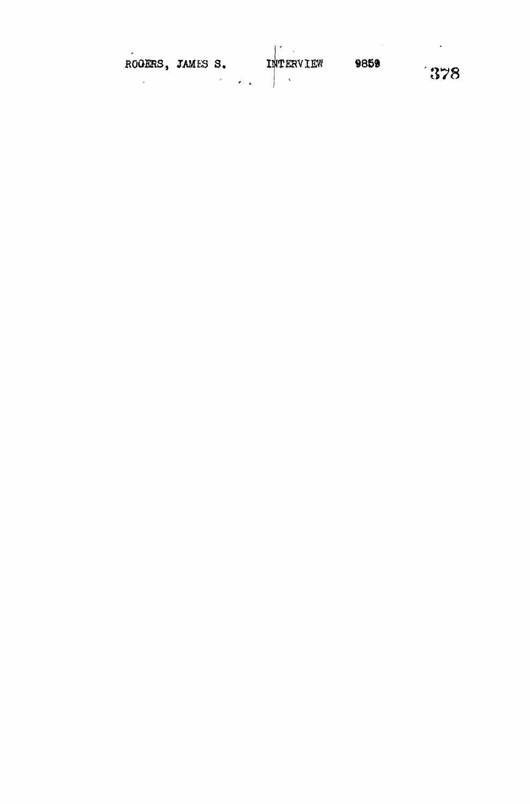| ,<br>ROGERS, JAMES S.<br>$\epsilon$ |  | $\sim$ | INTERVIEW | 9859 | 378 |
|-------------------------------------|--|--------|-----------|------|-----|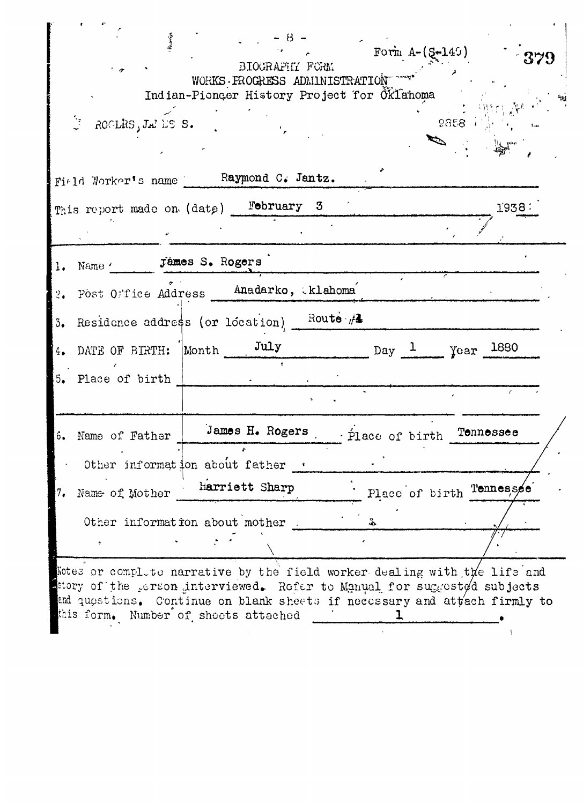| ROGLRS, JAN DS S.                                              | Form $A - (2 - 145)$<br>-379<br>BIOGRAPHY FORM<br>WORKS FROGRESS ADMINISTRATION<br>Indian-Pioncer History Project for Oklahoma<br>$9358 - 1$<br>Field Worker's name Raymond C. Jantz.                                                                                                                                                                                                                                                                                                                                                    |  |
|----------------------------------------------------------------|------------------------------------------------------------------------------------------------------------------------------------------------------------------------------------------------------------------------------------------------------------------------------------------------------------------------------------------------------------------------------------------------------------------------------------------------------------------------------------------------------------------------------------------|--|
|                                                                | This report made on (date) February 3<br>1938:                                                                                                                                                                                                                                                                                                                                                                                                                                                                                           |  |
| Name Tames S. Rogers<br>ı.<br>2.<br>3.<br>Place of birth<br>5. | Post Office Address Anadarko, tklahoma<br>Residence address (or location) Route #1<br>DATE OF BIRTH: Nonth July<br>$\frac{1}{\sqrt{1-\frac{1}{1-\frac{1}{1-\frac{1}{1-\frac{1}{1-\frac{1}{1-\frac{1}{1-\frac{1}{1-\frac{1}{1-\frac{1}{1-\frac{1}{1-\frac{1}{1-\frac{1}{1-\frac{1}{1-\frac{1}{1-\frac{1}{1-\frac{1}{1-\frac{1}{1-\frac{1}{1-\frac{1}{1-\frac{1}{1-\frac{1}{1-\frac{1}{1-\frac{1}{1-\frac{1}{1-\frac{1}{1-\frac{1}{1-\frac{1}{1-\frac{1}{1-\frac{1}{1-\frac{1}{1-\frac{1}{1-\frac{1}{1-\frac{1}{1-\frac{1}{1-\frac{1}{1-\$ |  |
| 6.<br>Name of Father<br>Name of Mother<br>7.                   | James H. Rogers . Place of birth Tennessee<br>Other information about father<br>Harriett Sharp<br>Place of birth Tennessee<br>Other information about mother<br>ಹಿ                                                                                                                                                                                                                                                                                                                                                                       |  |
| this form. Number of sheets attached                           | Notes or complete narrative by the field worker dealing with the life and<br>story of the gerson interviewed. Refer to Manual for suggested subjects<br>and questions. Continue on blank sheets if necessary and attach firmly to                                                                                                                                                                                                                                                                                                        |  |